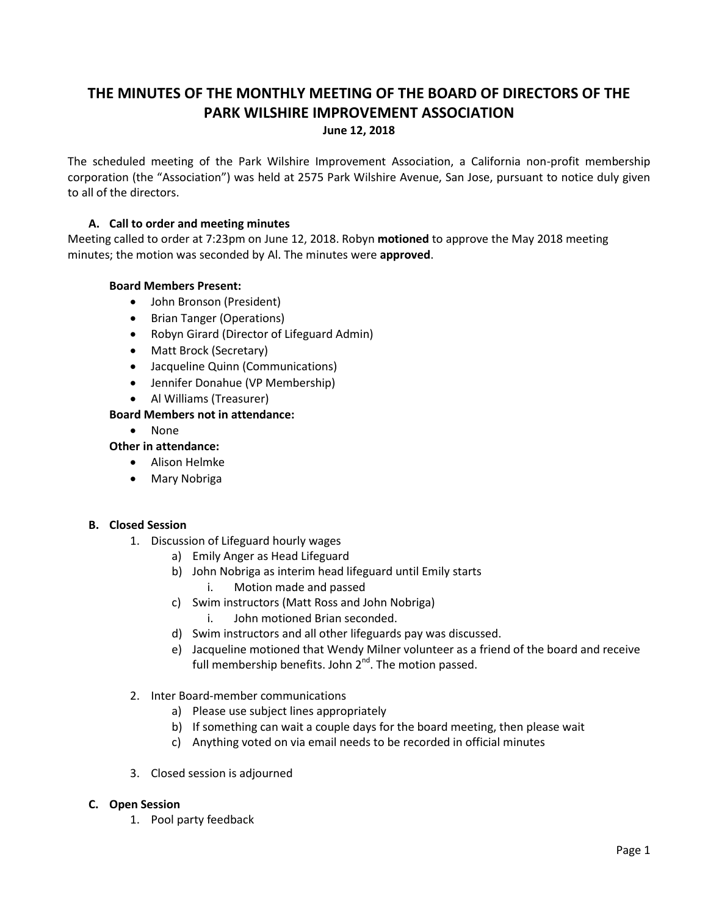# **THE MINUTES OF THE MONTHLY MEETING OF THE BOARD OF DIRECTORS OF THE PARK WILSHIRE IMPROVEMENT ASSOCIATION**

#### **June 12, 2018**

The scheduled meeting of the Park Wilshire Improvement Association, a California non-profit membership corporation (the "Association") was held at 2575 Park Wilshire Avenue, San Jose, pursuant to notice duly given to all of the directors.

## **A. Call to order and meeting minutes**

Meeting called to order at 7:23pm on June 12, 2018. Robyn **motioned** to approve the May 2018 meeting minutes; the motion was seconded by Al. The minutes were **approved**.

#### **Board Members Present:**

- John Bronson (President)
- Brian Tanger (Operations)
- Robyn Girard (Director of Lifeguard Admin)
- Matt Brock (Secretary)
- Jacqueline Quinn (Communications)
- Jennifer Donahue (VP Membership)
- Al Williams (Treasurer)

# **Board Members not in attendance:**

None

# **Other in attendance:**

- Alison Helmke
- Mary Nobriga

#### **B. Closed Session**

- 1. Discussion of Lifeguard hourly wages
	- a) Emily Anger as Head Lifeguard
	- b) John Nobriga as interim head lifeguard until Emily starts i. Motion made and passed
	- c) Swim instructors (Matt Ross and John Nobriga)
		- i. John motioned Brian seconded.
	- d) Swim instructors and all other lifeguards pay was discussed.
	- e) Jacqueline motioned that Wendy Milner volunteer as a friend of the board and receive full membership benefits. John 2<sup>nd</sup>. The motion passed.
- 2. Inter Board-member communications
	- a) Please use subject lines appropriately
	- b) If something can wait a couple days for the board meeting, then please wait
	- c) Anything voted on via email needs to be recorded in official minutes
- 3. Closed session is adjourned

#### **C. Open Session**

1. Pool party feedback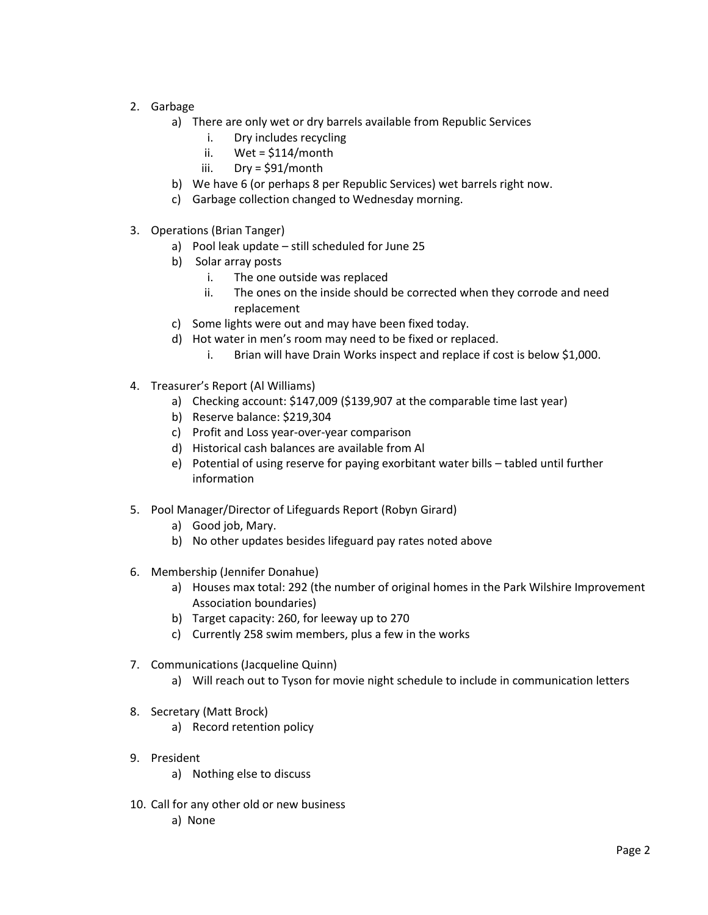- 2. Garbage
	- a) There are only wet or dry barrels available from Republic Services
		- i. Dry includes recycling
		- ii. Wet = \$114/month
		- iii. Dry = \$91/month
	- b) We have 6 (or perhaps 8 per Republic Services) wet barrels right now.
	- c) Garbage collection changed to Wednesday morning.
- 3. Operations (Brian Tanger)
	- a) Pool leak update still scheduled for June 25
	- b) Solar array posts
		- i. The one outside was replaced
		- ii. The ones on the inside should be corrected when they corrode and need replacement
	- c) Some lights were out and may have been fixed today.
	- d) Hot water in men's room may need to be fixed or replaced.
		- i. Brian will have Drain Works inspect and replace if cost is below \$1,000.
- 4. Treasurer's Report (Al Williams)
	- a) Checking account: \$147,009 (\$139,907 at the comparable time last year)
	- b) Reserve balance: \$219,304
	- c) Profit and Loss year-over-year comparison
	- d) Historical cash balances are available from Al
	- e) Potential of using reserve for paying exorbitant water bills tabled until further information
- 5. Pool Manager/Director of Lifeguards Report (Robyn Girard)
	- a) Good job, Mary.
	- b) No other updates besides lifeguard pay rates noted above
- 6. Membership (Jennifer Donahue)
	- a) Houses max total: 292 (the number of original homes in the Park Wilshire Improvement Association boundaries)
	- b) Target capacity: 260, for leeway up to 270
	- c) Currently 258 swim members, plus a few in the works
- 7. Communications (Jacqueline Quinn)
	- a) Will reach out to Tyson for movie night schedule to include in communication letters
- 8. Secretary (Matt Brock)
	- a) Record retention policy
- 9. President
	- a) Nothing else to discuss
- 10. Call for any other old or new business
	- a) None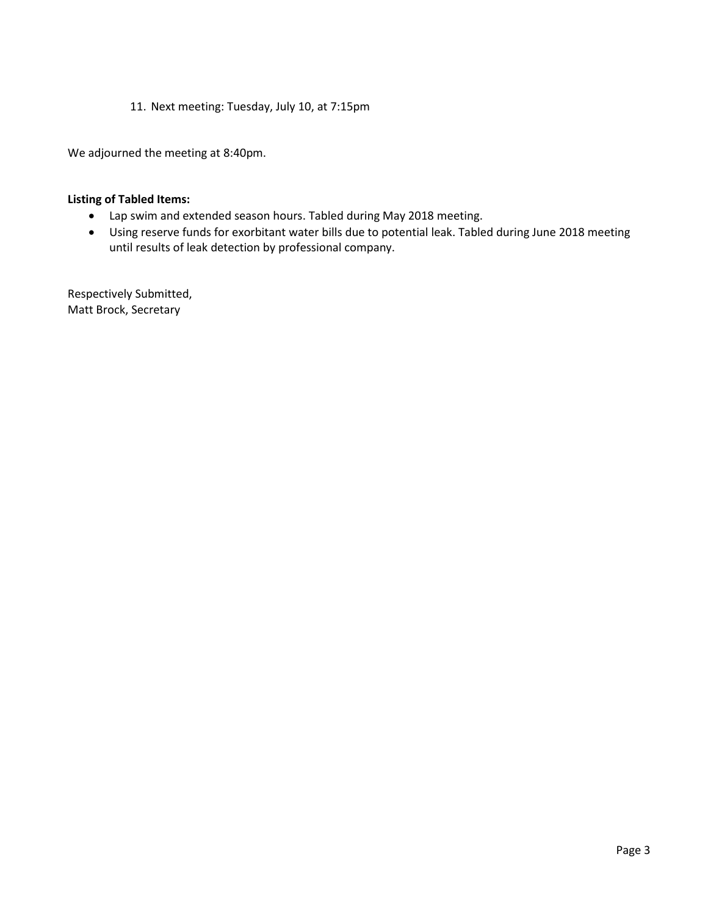11. Next meeting: Tuesday, July 10, at 7:15pm

We adjourned the meeting at 8:40pm.

#### **Listing of Tabled Items:**

- Lap swim and extended season hours. Tabled during May 2018 meeting.
- Using reserve funds for exorbitant water bills due to potential leak. Tabled during June 2018 meeting until results of leak detection by professional company.

Respectively Submitted, Matt Brock, Secretary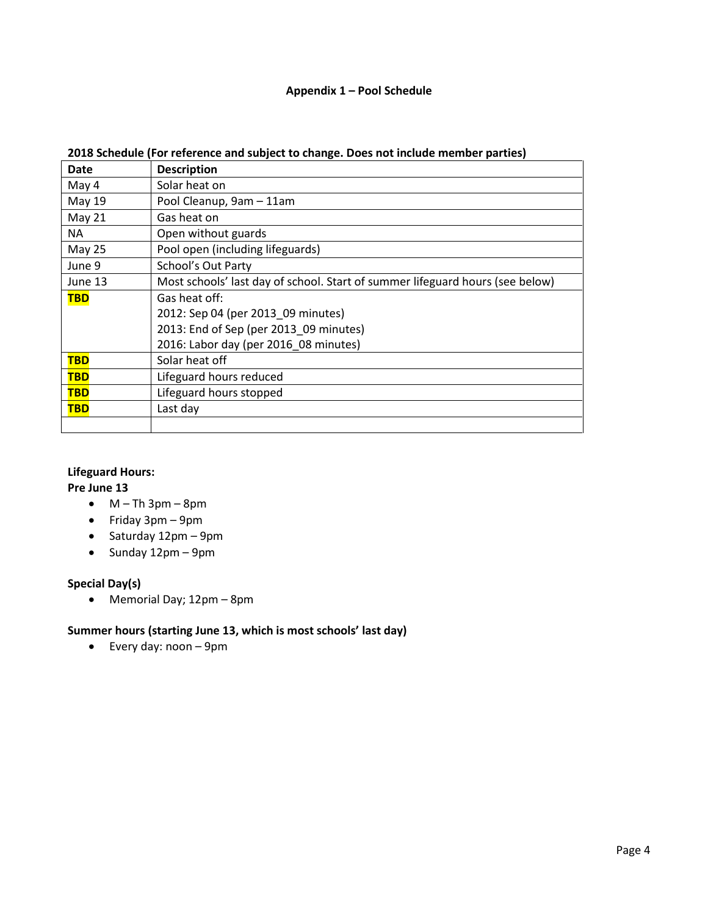# **Appendix 1 – Pool Schedule**

| Date          | <b>Description</b>                                                            |
|---------------|-------------------------------------------------------------------------------|
| May 4         | Solar heat on                                                                 |
| May 19        | Pool Cleanup, 9am - 11am                                                      |
| May 21        | Gas heat on                                                                   |
| ΝA            | Open without guards                                                           |
| <b>May 25</b> | Pool open (including lifeguards)                                              |
| June 9        | School's Out Party                                                            |
| June 13       | Most schools' last day of school. Start of summer lifeguard hours (see below) |
| <b>TBD</b>    | Gas heat off:                                                                 |
|               | 2012: Sep 04 (per 2013_09 minutes)                                            |
|               | 2013: End of Sep (per 2013 09 minutes)                                        |
|               | 2016: Labor day (per 2016_08 minutes)                                         |
| <b>TBD</b>    | Solar heat off                                                                |
| <b>TBD</b>    | Lifeguard hours reduced                                                       |
| <b>TBD</b>    | Lifeguard hours stopped                                                       |
| <b>TBD</b>    | Last day                                                                      |
|               |                                                                               |

#### **2018 Schedule (For reference and subject to change. Does not include member parties)**

# **Lifeguard Hours:**

# **Pre June 13**

- $\bullet$  M Th 3pm 8pm
- $\bullet$  Friday 3pm 9pm
- $\bullet$  Saturday 12pm 9pm
- $\bullet$  Sunday 12pm 9pm

# **Special Day(s)**

Memorial Day; 12pm – 8pm

# **Summer hours (starting June 13, which is most schools' last day)**

Every day: noon – 9pm